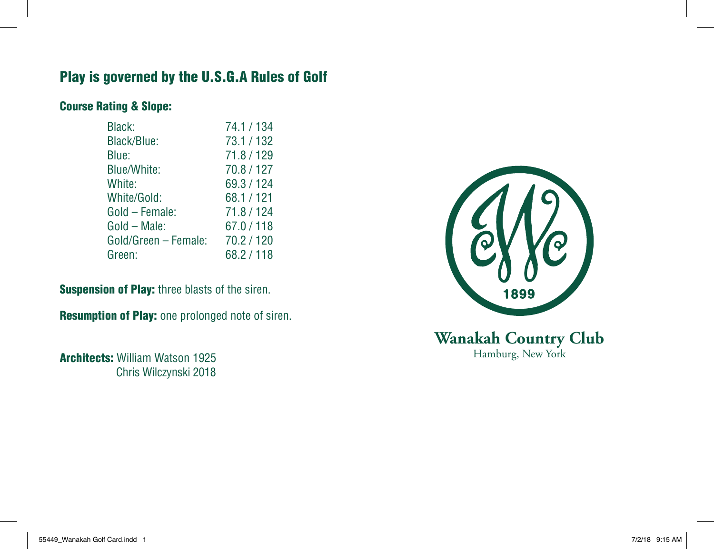## Play is governed by the U.S.G.A Rules of Golf

## Course Rating & Slope:

| Black:               | 74.1 / 134 |
|----------------------|------------|
| Black/Blue:          | 73.1/132   |
| Blue:                | 71.8 / 129 |
| Blue/White:          | 70.8 / 127 |
| White:               | 69.3 / 124 |
| White/Gold:          | 68.1/121   |
| Gold - Female:       | 71.8 / 124 |
| Gold - Male:         | 67.0/118   |
| Gold/Green - Female: | 70.2/120   |
| Green:               | 68.2/118   |

**Suspension of Play: three blasts of the siren.** 

Resumption of Play: one prolonged note of siren.

Architects: William Watson 1925 Chris Wilczynski 2018



**Wanakah Country Club** Hamburg, New York